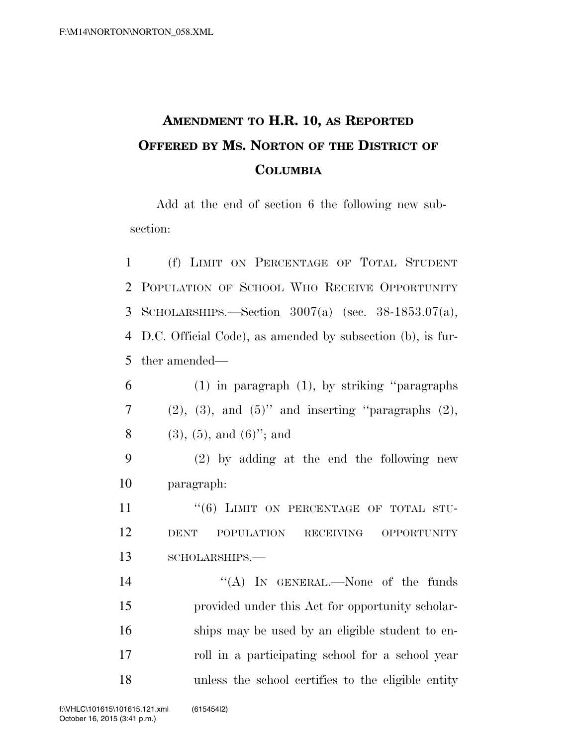## **AMENDMENT TO H.R. 10, AS REPORTED OFFERED BY MS. NORTON OF THE DISTRICT OF COLUMBIA**

Add at the end of section 6 the following new subsection:

 (f) LIMIT ON PERCENTAGE OF TOTAL STUDENT POPULATION OF SCHOOL WHO RECEIVE OPPORTUNITY SCHOLARSHIPS.—Section 3007(a) (sec. 38-1853.07(a), D.C. Official Code), as amended by subsection (b), is fur-ther amended—

| 6 | $(1)$ in paragraph $(1)$ , by striking "paragraphs"           |
|---|---------------------------------------------------------------|
|   | $(2)$ , $(3)$ , and $(5)$ " and inserting "paragraphs $(2)$ , |
| 8 | $(3), (5), \text{ and } (6)$ "; and                           |

9 (2) by adding at the end the following new 10 paragraph:

11 "(6) LIMIT ON PERCENTAGE OF TOTAL STU-12 DENT POPULATION RECEIVING OPPORTUNITY 13 SCHOLARSHIPS.—

14 "(A) In GENERAL.—None of the funds 15 provided under this Act for opportunity scholar-16 ships may be used by an eligible student to en-17 roll in a participating school for a school year 18 unless the school certifies to the eligible entity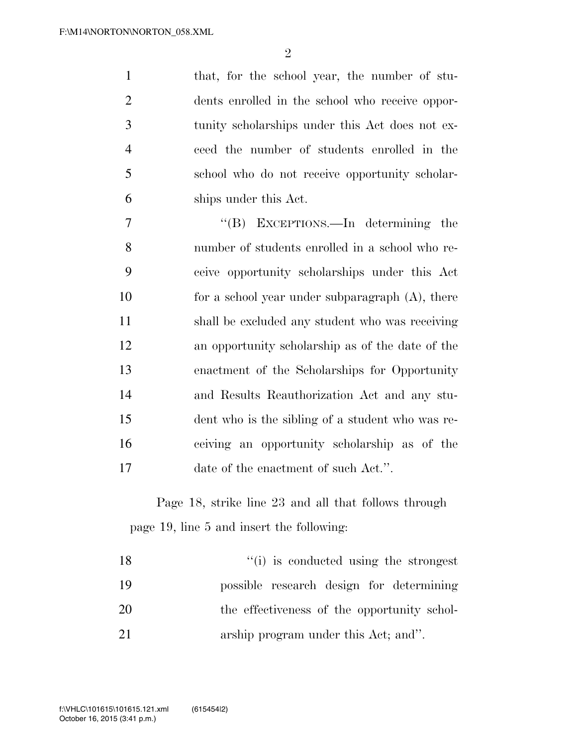that, for the school year, the number of stu- dents enrolled in the school who receive oppor- tunity scholarships under this Act does not ex- ceed the number of students enrolled in the school who do not receive opportunity scholar-ships under this Act.

 ''(B) EXCEPTIONS.—In determining the number of students enrolled in a school who re- ceive opportunity scholarships under this Act 10 for a school year under subparagraph (A), there shall be excluded any student who was receiving an opportunity scholarship as of the date of the enactment of the Scholarships for Opportunity and Results Reauthorization Act and any stu- dent who is the sibling of a student who was re- ceiving an opportunity scholarship as of the 17 date of the enactment of such Act.".

Page 18, strike line 23 and all that follows through page 19, line 5 and insert the following:

| 18 | "(i) is conducted using the strongest       |
|----|---------------------------------------------|
| 19 | possible research design for determining    |
| 20 | the effectiveness of the opportunity schol- |
| 21 | arship program under this Act; and".        |